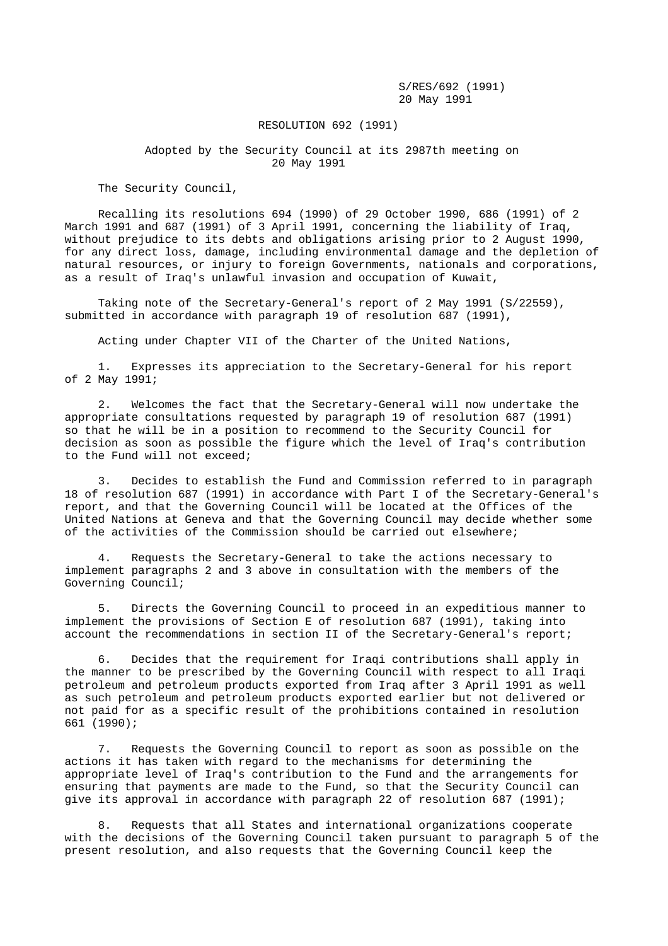S/RES/692 (1991) 20 May 1991

## RESOLUTION 692 (1991)

## Adopted by the Security Council at its 2987th meeting on 20 May 1991

The Security Council,

 Recalling its resolutions 694 (1990) of 29 October 1990, 686 (1991) of 2 March 1991 and 687 (1991) of 3 April 1991, concerning the liability of Iraq, without prejudice to its debts and obligations arising prior to 2 August 1990, for any direct loss, damage, including environmental damage and the depletion of natural resources, or injury to foreign Governments, nationals and corporations, as a result of Iraq's unlawful invasion and occupation of Kuwait,

 Taking note of the Secretary-General's report of 2 May 1991 (S/22559), submitted in accordance with paragraph 19 of resolution 687 (1991),

Acting under Chapter VII of the Charter of the United Nations,

 1. Expresses its appreciation to the Secretary-General for his report of 2 May 1991;

 2. Welcomes the fact that the Secretary-General will now undertake the appropriate consultations requested by paragraph 19 of resolution 687 (1991) so that he will be in a position to recommend to the Security Council for decision as soon as possible the figure which the level of Iraq's contribution to the Fund will not exceed;

 3. Decides to establish the Fund and Commission referred to in paragraph 18 of resolution 687 (1991) in accordance with Part I of the Secretary-General's report, and that the Governing Council will be located at the Offices of the United Nations at Geneva and that the Governing Council may decide whether some of the activities of the Commission should be carried out elsewhere;

 4. Requests the Secretary-General to take the actions necessary to implement paragraphs 2 and 3 above in consultation with the members of the Governing Council;

 5. Directs the Governing Council to proceed in an expeditious manner to implement the provisions of Section E of resolution 687 (1991), taking into account the recommendations in section II of the Secretary-General's report;

 6. Decides that the requirement for Iraqi contributions shall apply in the manner to be prescribed by the Governing Council with respect to all Iraqi petroleum and petroleum products exported from Iraq after 3 April 1991 as well as such petroleum and petroleum products exported earlier but not delivered or not paid for as a specific result of the prohibitions contained in resolution 661 (1990);

 7. Requests the Governing Council to report as soon as possible on the actions it has taken with regard to the mechanisms for determining the appropriate level of Iraq's contribution to the Fund and the arrangements for ensuring that payments are made to the Fund, so that the Security Council can give its approval in accordance with paragraph 22 of resolution 687 (1991);

 8. Requests that all States and international organizations cooperate with the decisions of the Governing Council taken pursuant to paragraph 5 of the present resolution, and also requests that the Governing Council keep the